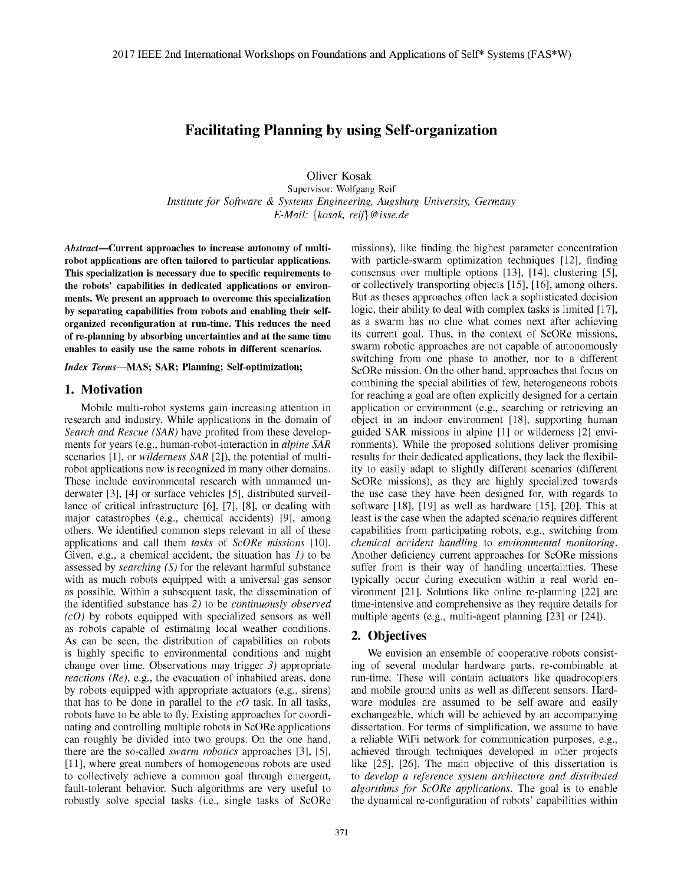# Facilitating Planning by using Self-organization

Oliver Kosak Supervisor: Wolfgang Reif *Institute for Software & Systems Engineering, Augsburg University, Germany E-Mail:* {*kosak, reif*}*@isse.de*

*Abstract*—Current approaches to increase autonomy of multirobot applications are often tailored to particular applications. This specialization is necessary due to specific requirements to the robots' capabilities in dedicated applications or environments. We present an approach to overcome this specialization by separating capabilities from robots and enabling their selforganized reconfiguration at run-time. This reduces the need of re-planning by absorbing uncertainties and at the same time enables to easily use the same robots in different scenarios.

*Index Terms*—MAS; SAR; Planning; Self-optimization;

#### 1. Motivation

Mobile multi-robot systems gain increasing attention in research and industry. While applications in the domain of *Search and Rescue (SAR)* have profited from these developments for years (e.g., human-robot-interaction in *alpine SAR* scenarios [1], or *wilderness SAR* [2]), the potential of multirobot applications now is recognized in many other domains. These include environmental research with unmanned underwater [3], [4] or surface vehicles [5], distributed surveillance of critical infrastructure [6], [7], [8], or dealing with major catastrophes (e.g., chemical accidents) [9], among others. We identified common steps relevant in all of these applications and call them *tasks* of *ScORe missions* [10]. Given, e.g., a chemical accident, the situation has *1)* to be assessed by *searching (S)* for the relevant harmful substance with as much robots equipped with a universal gas sensor as possible. Within a subsequent task, the dissemination of the identified substance has *2)* to be *continuously observed (cO)* by robots equipped with specialized sensors as well as robots capable of estimating local weather conditions. As can be seen, the distribution of capabilities on robots is highly specific to environmental conditions and might change over time. Observations may trigger *3)* appropriate *reactions (Re)*, e.g., the evacuation of inhabited areas, done by robots equipped with appropriate actuators (e.g., sirens) that has to be done in parallel to the *cO* task. In all tasks, robots have to be able to fly. Existing approaches for coordinating and controlling multiple robots in ScORe applications can roughly be divided into two groups. On the one hand, there are the so-called *swarm robotics* approaches [3], [5], [11], where great numbers of homogeneous robots are used to collectively achieve a common goal through emergent, fault-tolerant behavior. Such algorithms are very useful to robustly solve special tasks (i.e., single tasks of ScORe 2017 IEEE 2nd International Workshop son Doublatters and Applications of Self\* Systems (FAS\*W)<br>
Facilitating Planning by using Self-organization<br>
(There Keake <br> *Institute Core is the control of the control of the control* 

missions), like finding the highest parameter concentration with particle-swarm optimization techniques [12], finding consensus over multiple options [13], [14], clustering [5], or collectively transporting objects [15], [16], among others. But as theses approaches often lack a sophisticated decision logic, their ability to deal with complex tasks is limited [17], as a swarm has no clue what comes next after achieving its current goal. Thus, in the context of ScORe missions, swarm robotic approaches are not capable of autonomously switching from one phase to another, nor to a different ScORe mission. On the other hand, approaches that focus on combining the special abilities of few, heterogeneous robots for reaching a goal are often explicitly designed for a certain application or environment (e.g., searching or retrieving an object in an indoor environment [18], supporting human guided SAR missions in alpine [1] or wilderness [2] environments). While the proposed solutions deliver promising results for their dedicated applications, they lack the flexibility to easily adapt to slightly different scenarios (different ScORe missions), as they are highly specialized towards the use case they have been designed for, with regards to software [18], [19] as well as hardware [15], [20]. This at least is the case when the adapted scenario requires different capabilities from participating robots, e.g., switching from *chemical accident handling* to *environmental monitoring*. Another deficiency current approaches for ScORe missions suffer from is their way of handling uncertainties. These typically occur during execution within a real world environment [21]. Solutions like online re-planning [22] are time-intensive and comprehensive as they require details for multiple agents (e.g., multi-agent planning [23] or [24]).

#### 2. Objectives

We envision an ensemble of cooperative robots consisting of several modular hardware parts, re-combinable at run-time. These will contain actuators like quadrocopters and mobile ground units as well as different sensors. Hardware modules are assumed to be self-aware and easily exchangeable, which will be achieved by an accompanying dissertation. For terms of simplification, we assume to have a reliable WiFi network for communication purposes, e.g., achieved through techniques developed in other projects like [25], [26]. The main objective of this dissertation is to *develop a reference system architecture and distributed algorithms for ScORe applications*. The goal is to enable the dynamical re-configuration of robots' capabilities within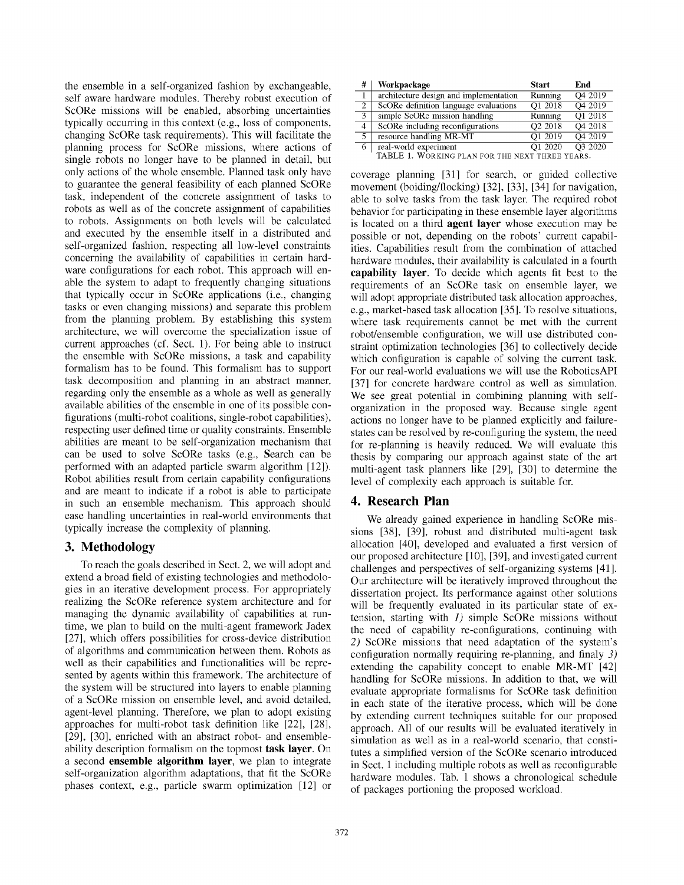the ensemble in a self-organized fashion by exchangeable, self aware hardware modules. Thereby robust execution of ScORe missions will be enabled, absorbing uncertainties typically occurring in this context (e.g., loss of components, changing ScORe task requirements). This will facilitate the planning process for ScORe missions, where actions of single robots no longer have to be planned in detail, but only actions of the whole ensemble. Planned task only have to guarantee the general feasibility of each planned ScORe task, independent of the concrete assignment of tasks to robots as well as of the concrete assignment of capabilities to robots. Assignments on both levels will be calculated and executed by the ensemble itself in a distributed and self-organized fashion, respecting all low-level constraints concerning the availability of capabilities in certain hardware configurations for each robot. This approach will enable the system to adapt to frequently changing situations that typically occur in ScORe applications (i.e., changing tasks or even changing missions) and separate this problem from the planning problem. By establishing this system architecture, we will overcome the specialization issue of current approaches (cf. Sect. 1). For being able to instruct the ensemble with ScORe missions, a task and capability formalism has to be found. This formalism has to support task decomposition and planning in an abstract manner, regarding only the ensemble as a whole as well as generally available abilities of the ensemble in one of its possible configurations (multi-robot coalitions, single-robot capabilities), respecting user defined time or quality constraints. Ensemble abilities are meant to be self-organization mechanism that can be used to solve ScORe tasks (e.g., Search can be performed with an adapted particle swarm algorithm [12]). Robot abilities result from certain capability configurations and are meant to indicate if a robot is able to participate in such an ensemble mechanism. This approach should ease handling uncertainties in real-world environments that typically increase the complexity of planning.

## 3. Methodology

To reach the goals described in Sect. 2, we will adopt and extend a broad field of existing technologies and methodologies in an iterative development process. For appropriately realizing the ScORe reference system architecture and for managing the dynamic availability of capabilities at runtime, we plan to build on the multi-agent framework Jadex [27], which offers possibilities for cross-device distribution of algorithms and communication between them. Robots as well as their capabilities and functionalities will be represented by agents within this framework. The architecture of the system will be structured into layers to enable planning of a ScORe mission on ensemble level, and avoid detailed, agent-level planning. Therefore, we plan to adopt existing approaches for multi-robot task definition like [22], [28], [29], [30], enriched with an abstract robot- and ensembleability description formalism on the topmost task layer. On a second ensemble algorithm layer, we plan to integrate self-organization algorithm adaptations, that fit the ScORe phases context, e.g., particle swarm optimization [12] or

| Workpackage                            | <b>Start</b>                                | End                 |
|----------------------------------------|---------------------------------------------|---------------------|
| architecture design and implementation | Running                                     | O4 2019             |
| ScORe definition language evaluations  | O1 2018                                     | O4 2019             |
| simple ScORe mission handling          | Running                                     | O1 2018             |
| ScORe including reconfigurations       | O <sub>2</sub> 2018                         | O <sub>4</sub> 2018 |
| resource handling MR-MT                | O1 2019                                     | O4 2019             |
| real-world experiment                  | O1 2020                                     | O3 2020             |
|                                        | $TH$ DI $T$ 1. We assume $T$ , we now mixed |                     |

TABLE 1. WORKING PLAN FOR THE NEXT THREE YEARS.

coverage planning [31] for search, or guided collective movement (boiding/flocking) [32], [33], [34] for navigation, able to solve tasks from the task layer. The required robot behavior for participating in these ensemble layer algorithms is located on a third agent layer whose execution may be possible or not, depending on the robots' current capabilities. Capabilities result from the combination of attached hardware modules, their availability is calculated in a fourth capability layer. To decide which agents fit best to the requirements of an ScORe task on ensemble layer, we will adopt appropriate distributed task allocation approaches, e.g., market-based task allocation [35]. To resolve situations, where task requirements cannot be met with the current robot/ensemble configuration, we will use distributed constraint optimization technologies [36] to collectively decide which configuration is capable of solving the current task. For our real-world evaluations we will use the RoboticsAPI [37] for concrete hardware control as well as simulation. We see great potential in combining planning with selforganization in the proposed way. Because single agent actions no longer have to be planned explicitly and failurestates can be resolved by re-configuring the system, the need for re-planning is heavily reduced. We will evaluate this thesis by comparing our approach against state of the art multi-agent task planners like [29], [30] to determine the level of complexity each approach is suitable for.

## 4. Research Plan

We already gained experience in handling ScORe missions [38], [39], robust and distributed multi-agent task allocation [40], developed and evaluated a first version of our proposed architecture [10], [39], and investigated current challenges and perspectives of self-organizing systems [41]. Our architecture will be iteratively improved throughout the dissertation project. Its performance against other solutions will be frequently evaluated in its particular state of extension, starting with *1)* simple ScORe missions without the need of capability re-configurations, continuing with *2)* ScORe missions that need adaptation of the system's configuration normally requiring re-planning, and finaly *3)* extending the capability concept to enable MR-MT [42] handling for ScORe missions. In addition to that, we will evaluate appropriate formalisms for ScORe task definition in each state of the iterative process, which will be done by extending current techniques suitable for our proposed approach. All of our results will be evaluated iteratively in simulation as well as in a real-world scenario, that constitutes a simplified version of the ScORe scenario introduced in Sect. 1 including multiple robots as well as reconfigurable hardware modules. Tab. 1 shows a chronological schedule of packages portioning the proposed workload.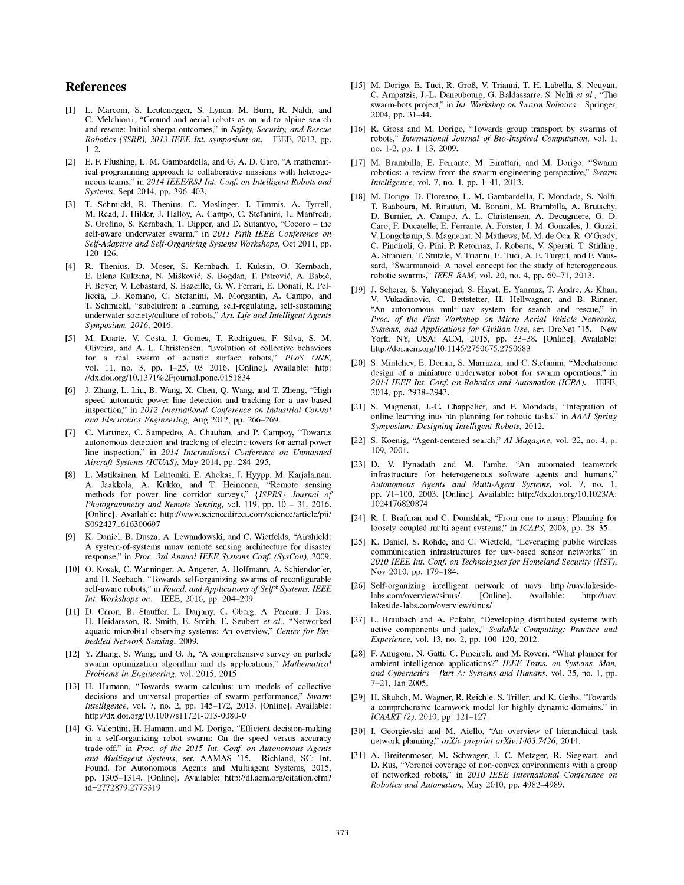#### References

- [1] L. Marconi, S. Leutenegger, S. Lynen, M. Burri, R. Naldi, and C. Melchiorri, "Ground and aerial robots as an aid to alpine search and rescue: Initial sherpa outcomes," in *Safety, Security, and Rescue Robotics (SSRR), 2013 IEEE Int. symposium on*. IEEE, 2013, pp. 1–2.
- [2] E. F. Flushing, L. M. Gambardella, and G. A. D. Caro, "A mathematical programming approach to collaborative missions with heterogeneous teams," in *2014 IEEE/RSJ Int. Conf. on Intelligent Robots and Systems*, Sept 2014, pp. 396–403.
- [3] T. Schmickl, R. Thenius, C. Moslinger, J. Timmis, A. Tyrrell, M. Read, J. Hilder, J. Halloy, A. Campo, C. Stefanini, L. Manfredi, S. Orofino, S. Kernbach, T. Dipper, and D. Sutantyo, "Cocoro – the self-aware underwater swarm," in *2011 Fifth IEEE Conference on Self-Adaptive and Self-Organizing Systems Workshops*, Oct 2011, pp. 120–126.
- [4] R. Thenius, D. Moser, S. Kernbach, I. Kuksin, O. Kernbach, E. Elena Kuksina, N. Miśković, S. Bogdan, T. Petrović, A. Babić, F. Boyer, V. Lebastard, S. Bazeille, G. W. Ferrari, E. Donati, R. Pelliccia, D. Romano, C. Stefanini, M. Morgantin, A. Campo, and T. Schmickl, "subclutron: a learning, self-regulating, self-sustaining underwater society/culture of robots," *Art. Life and Intelligent Agents Symposium, 2016*, 2016.
- [5] M. Duarte, V. Costa, J. Gomes, T. Rodrigues, F. Silva, S. M. Oliveira, and A. L. Christensen, "Evolution of collective behaviors for a real swarm of aquatic surface robots," *PLoS ONE*, vol. 11, no. 3, pp. 1–25, 03 2016. [Online]. Available: http: //dx.doi.org/10.1371%2Fjournal.pone.0151834
- [6] J. Zhang, L. Liu, B. Wang, X. Chen, Q. Wang, and T. Zheng, "High speed automatic power line detection and tracking for a uav-based inspection," in *2012 International Conference on Industrial Control and Electronics Engineering*, Aug 2012, pp. 266–269.
- [7] C. Martinez, C. Sampedro, A. Chauhan, and P. Campoy, "Towards autonomous detection and tracking of electric towers for aerial power line inspection," in *2014 International Conference on Unmanned Aircraft Systems (ICUAS)*, May 2014, pp. 284–295.
- [8] L. Matikainen, M. Lehtomki, E. Ahokas, J. Hyypp, M. Karjalainen, A. Jaakkola, A. Kukko, and T. Heinonen, "Remote sensing methods for power line corridor surveys," {*ISPRS*} *Journal of Photogrammetry and Remote Sensing*, vol. 119, pp. 10 – 31, 2016. [Online]. Available: http://www.sciencedirect.com/science/article/pii/ S0924271616300697
- [9] K. Daniel, B. Dusza, A. Lewandowski, and C. Wietfelds, "Airshield: A system-of-systems muav remote sensing architecture for disaster response," in *Proc. 3rd Annual IEEE Systems Conf. (SysCon)*, 2009.
- [10] O. Kosak, C. Wanninger, A. Angerer, A. Hoffmann, A. Schiendorfer, and H. Seebach, "Towards self-organizing swarms of reconfigurable self-aware robots," in *Found. and Applications of Self\* Systems, IEEE Int. Workshops on*. IEEE, 2016, pp. 204–209.
- [11] D. Caron, B. Stauffer, L. Darjany, C. Oberg, A. Pereira, J. Das, H. Heidarsson, R. Smith, E. Smith, E. Seubert *et al.*, "Networked aquatic microbial observing systems: An overview," *Center for Embedded Network Sensing*, 2009.
- [12] Y. Zhang, S. Wang, and G. Ji, "A comprehensive survey on particle swarm optimization algorithm and its applications," *Mathematical Problems in Engineering*, vol. 2015, 2015.
- [13] H. Hamann, "Towards swarm calculus: urn models of collective decisions and universal properties of swarm performance," *Swarm Intelligence*, vol. 7, no. 2, pp. 145–172, 2013. [Online]. Available: http://dx.doi.org/10.1007/s11721-013-0080-0
- [14] G. Valentini, H. Hamann, and M. Dorigo, "Efficient decision-making in a self-organizing robot swarm: On the speed versus accuracy trade-off," in *Proc. of the 2015 Int. Conf. on Autonomous Agents and Multiagent Systems*, ser. AAMAS '15. Richland, SC: Int. Found. for Autonomous Agents and Multiagent Systems, 2015, pp. 1305–1314. [Online]. Available: http://dl.acm.org/citation.cfm? id=2772879.2773319
- [15] M. Dorigo, E. Tuci, R. Groß, V. Trianni, T. H. Labella, S. Nouyan, C. Ampatzis, J.-L. Deneubourg, G. Baldassarre, S. Nolfi *et al.*, "The swarm-bots project," in *Int. Workshop on Swarm Robotics*. Springer, 2004, pp. 31–44.
- [16] R. Gross and M. Dorigo, "Towards group transport by swarms of robots," *International Journal of Bio-Inspired Computation*, vol. 1, no. 1-2, pp. 1–13, 2009.
- [17] M. Brambilla, E. Ferrante, M. Birattari, and M. Dorigo, "Swarm robotics: a review from the swarm engineering perspective," *Swarm Intelligence*, vol. 7, no. 1, pp. 1–41, 2013.
- [18] M. Dorigo, D. Floreano, L. M. Gambardella, F. Mondada, S. Nolfi, T. Baaboura, M. Birattari, M. Bonani, M. Brambilla, A. Brutschy, D. Burnier, A. Campo, A. L. Christensen, A. Decugniere, G. D. Caro, F. Ducatelle, E. Ferrante, A. Forster, J. M. Gonzales, J. Guzzi, V. Longchamp, S. Magnenat, N. Mathews, M. M. de Oca, R. O'Grady, C. Pinciroli, G. Pini, P. Retornaz, J. Roberts, V. Sperati, T. Stirling, A. Stranieri, T. Stutzle, V. Trianni, E. Tuci, A. E. Turgut, and F. Vaussard, "Swarmanoid: A novel concept for the study of heterogeneous robotic swarms," *IEEE RAM*, vol. 20, no. 4, pp. 60–71, 2013.
- [19] J. Scherer, S. Yahyanejad, S. Hayat, E. Yanmaz, T. Andre, A. Khan, V. Vukadinovic, C. Bettstetter, H. Hellwagner, and B. Rinner, "An autonomous multi-uav system for search and rescue," in *Proc. of the First Workshop on Micro Aerial Vehicle Networks, Systems, and Applications for Civilian Use*, ser. DroNet '15. New York, NY, USA: ACM, 2015, pp. 33–38. [Online]. Available: http://doi.acm.org/10.1145/2750675.2750683
- [20] S. Mintchev, E. Donati, S. Marrazza, and C. Stefanini, "Mechatronic design of a miniature underwater robot for swarm operations," in *2014 IEEE Int. Conf. on Robotics and Automation (ICRA)*. IEEE, 2014, pp. 2938–2943.
- [21] S. Magnenat, J.-C. Chappelier, and F. Mondada, "Integration of online learning into htn planning for robotic tasks." in *AAAI Spring Symposium: Designing Intelligent Robots*, 2012.
- [22] S. Koenig, "Agent-centered search," *AI Magazine*, vol. 22, no. 4, p. 109, 2001.
- [23] D. V. Pynadath and M. Tambe, "An automated teamwork infrastructure for heterogeneous software agents and humans," *Autonomous Agents and Multi-Agent Systems*, vol. 7, no. 1, pp. 71–100, 2003. [Online]. Available: http://dx.doi.org/10.1023/A: 1024176820874
- [24] R. I. Brafman and C. Domshlak, "From one to many: Planning for loosely coupled multi-agent systems," in *ICAPS*, 2008, pp. 28–35.
- [25] K. Daniel, S. Rohde, and C. Wietfeld, "Leveraging public wireless communication infrastructures for uav-based sensor networks," in *2010 IEEE Int. Conf. on Technologies for Homeland Security (HST)*, Nov 2010, pp. 179–184.
- [26] Self-organizing intelligent network of uavs. http://uav.lakesidelabs.com/overview/sinus/. lakeside-labs.com/overview/sinus/
- [27] L. Braubach and A. Pokahr, "Developing distributed systems with active components and jadex," *Scalable Computing: Practice and Experience*, vol. 13, no. 2, pp. 100–120, 2012.
- [28] F. Amigoni, N. Gatti, C. Pinciroli, and M. Roveri, "What planner for ambient intelligence applications?" *IEEE Trans. on Systems, Man, and Cybernetics - Part A: Systems and Humans*, vol. 35, no. 1, pp. 7–21, Jan 2005.
- [29] H. Skubch, M. Wagner, R. Reichle, S. Triller, and K. Geihs, "Towards a comprehensive teamwork model for highly dynamic domains." in *ICAART (2)*, 2010, pp. 121–127.
- [30] I. Georgievski and M. Aiello, "An overview of hierarchical task network planning," *arXiv preprint arXiv:1403.7426*, 2014.
- [31] A. Breitenmoser, M. Schwager, J. C. Metzger, R. Siegwart, and D. Rus, "Voronoi coverage of non-convex environments with a group of networked robots," in *2010 IEEE International Conference on Robotics and Automation*, May 2010, pp. 4982–4989.